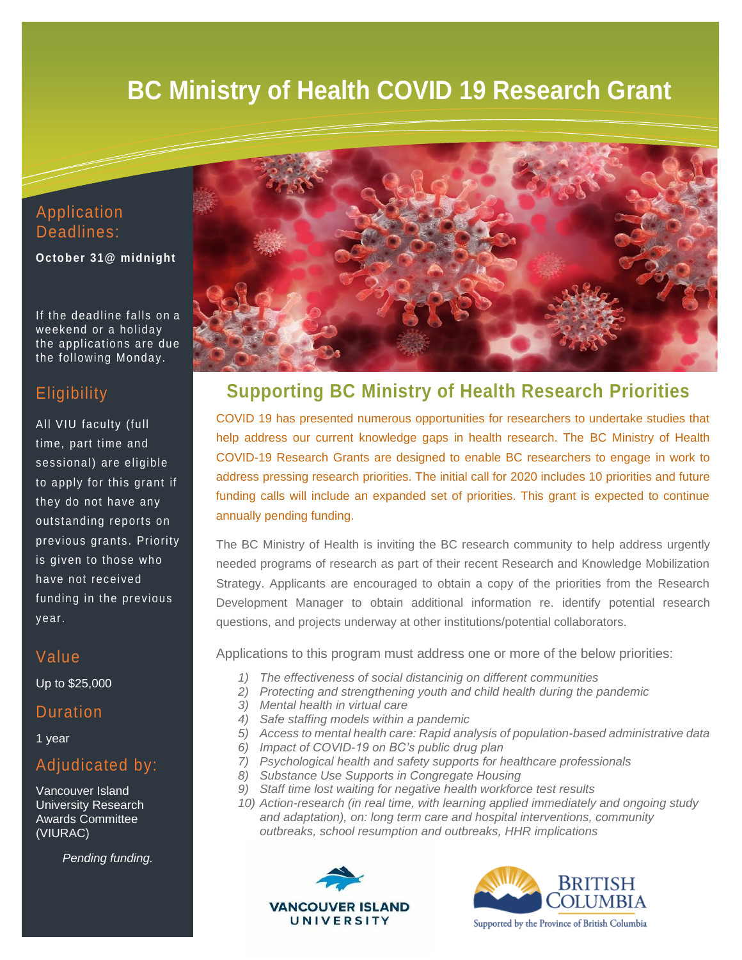# **BC Ministry of Health COVID 19 Research Grant**

## Application Deadlines:

**October 31@ midnight** 

If the deadline falls on a weekend or a holiday the applications are due the following Monday.

## **Eligibility**

All VIU faculty (full time, part time and sessional) are eligible to apply for this grant if they do not have any outstanding reports on previous grants. Priority is given to those who have not received funding in the previous year.

## Value

Up to \$25,000

## **Duration**

1 year

## Adjudicated by:

Vancouver Island University Research Awards Committee (VIURAC)

*Pending funding.* 



## **Supporting BC Ministry of Health Research Priorities**

COVID 19 has presented numerous opportunities for researchers to undertake studies that help address our current knowledge gaps in health research. The BC Ministry of Health COVID-19 Research Grants are designed to enable BC researchers to engage in work to address pressing research priorities. The initial call for 2020 includes 10 priorities and future funding calls will include an expanded set of priorities. This grant is expected to continue annually pending funding.

The BC Ministry of Health is inviting the BC research community to help address urgently needed programs of research as part of their recent Research and Knowledge Mobilization Strategy. Applicants are encouraged to obtain a copy of the priorities from the Research Development Manager to obtain additional information re. identify potential research questions, and projects underway at other institutions/potential collaborators.

Applications to this program must address one or more of the below priorities:

- *1) The effectiveness of social distancinig on different communities*
- *2) Protecting and strengthening youth and child health during the pandemic*
- *3) Mental health in virtual care*
- *4) Safe staffing models within a pandemic*
- *5) Access to mental health care: Rapid analysis of population-based administrative data*
- *6) Impact of COVID-19 on BC's public drug plan*
- *7) Psychological health and safety supports for healthcare professionals*
- *8) Substance Use Supports in Congregate Housing*
- *9) Staff time lost waiting for negative health workforce test results*
- *10) Action-research (in real time, with learning applied immediately and ongoing study and adaptation), on: long term care and hospital interventions, community outbreaks, school resumption and outbreaks, HHR implications*





Supported by the Province of British Columbia